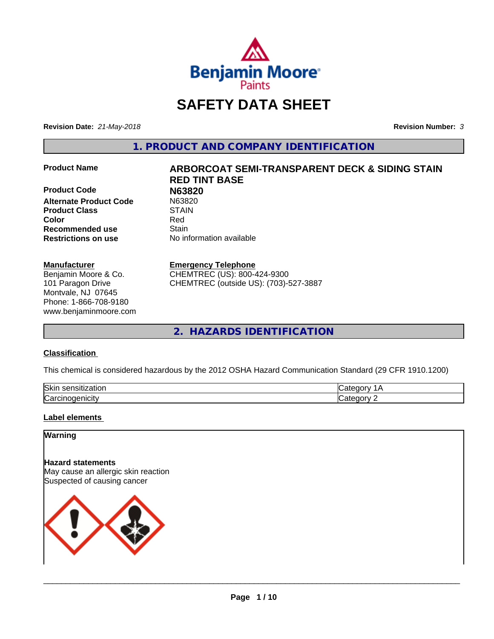

# **SAFETY DATA SHEET**

**Revision Date:** *21-May-2018* **Revision Number:** *3*

**1. PRODUCT AND COMPANY IDENTIFICATION**

**Product Code N63820 Alternate Product Code** N6382<br>Product Class STAIN **Product Class Recommended use Stain Restrictions on use** No information available

#### **Manufacturer**

Benjamin Moore & Co. 101 Paragon Drive Montvale, NJ 07645 Phone: 1-866-708-9180 www.benjaminmoore.com

# **Product Name ARBORCOAT SEMI-TRANSPARENT DECK & SIDING STAIN RED TINT BASE Color** Red

#### **Emergency Telephone**

CHEMTREC (US): 800-424-9300 CHEMTREC (outside US): (703)-527-3887

**2. HAZARDS IDENTIFICATION**

#### **Classification**

This chemical is considered hazardous by the 2012 OSHA Hazard Communication Standard (29 CFR 1910.1200)

| <b>Ski</b><br>uor<br>- 11 |  |
|---------------------------|--|
| ∽<br>. . аг               |  |

#### **Label elements**

### **Warning**

**Hazard statements** May cause an allergic skin reaction Suspected of causing cancer

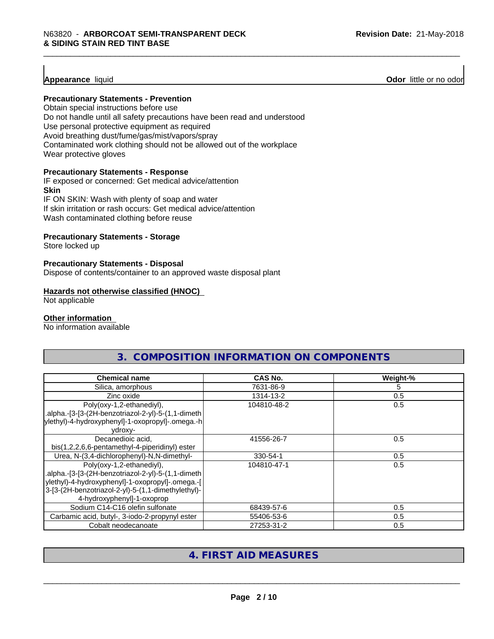**Appearance** liquid **Odor 11** Odor little or no odor

#### **Precautionary Statements - Prevention**

Obtain special instructions before use Do not handle until all safety precautions have been read and understood Use personal protective equipment as required Avoid breathing dust/fume/gas/mist/vapors/spray Contaminated work clothing should not be allowed out of the workplace Wear protective gloves

#### **Precautionary Statements - Response**

IF exposed or concerned: Get medical advice/attention **Skin** IF ON SKIN: Wash with plenty of soap and water

If skin irritation or rash occurs: Get medical advice/attention

Wash contaminated clothing before reuse

#### **Precautionary Statements - Storage**

Store locked up

#### **Precautionary Statements - Disposal**

Dispose of contents/container to an approved waste disposal plant

#### **Hazards not otherwise classified (HNOC)**

Not applicable

#### **Other information**

No information available

| <b>Chemical name</b>                                                                                                                                                                                                    | <b>CAS No.</b> | Weight-% |
|-------------------------------------------------------------------------------------------------------------------------------------------------------------------------------------------------------------------------|----------------|----------|
| Silica, amorphous                                                                                                                                                                                                       | 7631-86-9      | 5        |
| Zinc oxide                                                                                                                                                                                                              | 1314-13-2      | 0.5      |
| Poly(oxy-1,2-ethanediyl),<br>.alpha.-[3-[3-(2H-benzotriazol-2-yl)-5-(1,1-dimeth<br>ylethyl)-4-hydroxyphenyl]-1-oxopropyl]-.omega.-h<br>vdroxy-                                                                          | 104810-48-2    | 0.5      |
| Decanedioic acid,<br>bis(1,2,2,6,6-pentamethyl-4-piperidinyl) ester                                                                                                                                                     | 41556-26-7     | 0.5      |
| Urea, N-(3,4-dichlorophenyl)-N,N-dimethyl-                                                                                                                                                                              | 330-54-1       | 0.5      |
| Poly(oxy-1,2-ethanediyl),<br>.alpha.-[3-[3-(2H-benzotriazol-2-yl)-5-(1,1-dimeth<br>ylethyl)-4-hydroxyphenyl]-1-oxopropyl]-.omega.-[<br>3-[3-(2H-benzotriazol-2-yl)-5-(1,1-dimethylethyl)-<br>4-hydroxyphenyl]-1-oxoprop | 104810-47-1    | 0.5      |
| Sodium C14-C16 olefin sulfonate                                                                                                                                                                                         | 68439-57-6     | 0.5      |
| Carbamic acid, butyl-, 3-iodo-2-propynyl ester                                                                                                                                                                          | 55406-53-6     | 0.5      |
| Cobalt neodecanoate                                                                                                                                                                                                     | 27253-31-2     | 0.5      |

**3. COMPOSITION INFORMATION ON COMPONENTS**

# **4. FIRST AID MEASURES**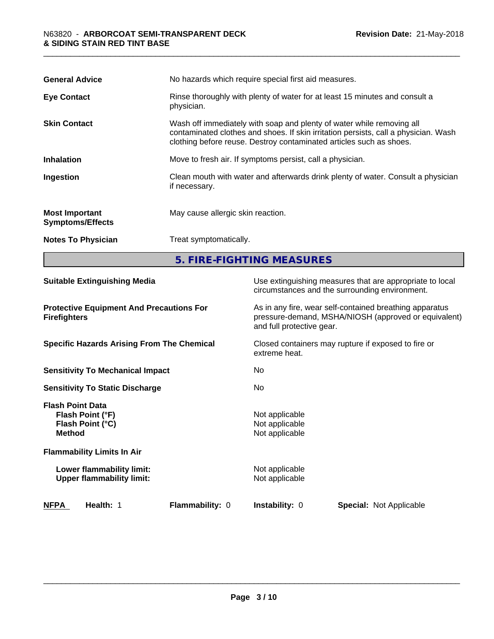| <b>General Advice</b>                            | No hazards which require special first aid measures.                                                                                                                                                                                |  |
|--------------------------------------------------|-------------------------------------------------------------------------------------------------------------------------------------------------------------------------------------------------------------------------------------|--|
| <b>Eye Contact</b>                               | Rinse thoroughly with plenty of water for at least 15 minutes and consult a<br>physician.                                                                                                                                           |  |
| <b>Skin Contact</b>                              | Wash off immediately with soap and plenty of water while removing all<br>contaminated clothes and shoes. If skin irritation persists, call a physician. Wash<br>clothing before reuse. Destroy contaminated articles such as shoes. |  |
| <b>Inhalation</b>                                | Move to fresh air. If symptoms persist, call a physician.                                                                                                                                                                           |  |
| Ingestion                                        | Clean mouth with water and afterwards drink plenty of water. Consult a physician<br>if necessary.                                                                                                                                   |  |
| <b>Most Important</b><br><b>Symptoms/Effects</b> | May cause allergic skin reaction.                                                                                                                                                                                                   |  |
| <b>Notes To Physician</b>                        | Treat symptomatically.                                                                                                                                                                                                              |  |
|                                                  | 5. FIRE-FIGHTING MEASURES                                                                                                                                                                                                           |  |

| <b>Suitable Extinguishing Media</b>                                              | Use extinguishing measures that are appropriate to local<br>circumstances and the surrounding environment.                                   |  |  |
|----------------------------------------------------------------------------------|----------------------------------------------------------------------------------------------------------------------------------------------|--|--|
| <b>Protective Equipment And Precautions For</b><br><b>Firefighters</b>           | As in any fire, wear self-contained breathing apparatus<br>pressure-demand, MSHA/NIOSH (approved or equivalent)<br>and full protective gear. |  |  |
| <b>Specific Hazards Arising From The Chemical</b>                                | Closed containers may rupture if exposed to fire or<br>extreme heat.                                                                         |  |  |
| <b>Sensitivity To Mechanical Impact</b>                                          | No.                                                                                                                                          |  |  |
| <b>Sensitivity To Static Discharge</b>                                           | No.                                                                                                                                          |  |  |
| <b>Flash Point Data</b><br>Flash Point (°F)<br>Flash Point (°C)<br><b>Method</b> | Not applicable<br>Not applicable<br>Not applicable                                                                                           |  |  |
| <b>Flammability Limits In Air</b>                                                |                                                                                                                                              |  |  |
| Lower flammability limit:<br><b>Upper flammability limit:</b>                    | Not applicable<br>Not applicable                                                                                                             |  |  |
| <b>NFPA</b><br>Health: 1<br><b>Flammability: 0</b>                               | <b>Instability: 0</b><br><b>Special: Not Applicable</b>                                                                                      |  |  |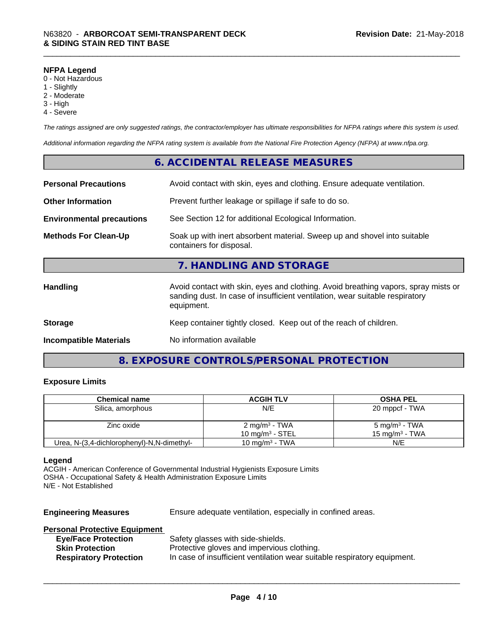#### **NFPA Legend**

- 0 Not Hazardous
- 1 Slightly
- 2 Moderate
- 3 High
- 4 Severe

*The ratings assigned are only suggested ratings, the contractor/employer has ultimate responsibilities for NFPA ratings where this system is used.*

*Additional information regarding the NFPA rating system is available from the National Fire Protection Agency (NFPA) at www.nfpa.org.*

### **6. ACCIDENTAL RELEASE MEASURES**

| <b>Personal Precautions</b>      | Avoid contact with skin, eyes and clothing. Ensure adequate ventilation.                                                                                                         |
|----------------------------------|----------------------------------------------------------------------------------------------------------------------------------------------------------------------------------|
| <b>Other Information</b>         | Prevent further leakage or spillage if safe to do so.                                                                                                                            |
| <b>Environmental precautions</b> | See Section 12 for additional Ecological Information.                                                                                                                            |
| <b>Methods For Clean-Up</b>      | Soak up with inert absorbent material. Sweep up and shovel into suitable<br>containers for disposal.                                                                             |
|                                  | 7. HANDLING AND STORAGE                                                                                                                                                          |
| <b>Handling</b>                  | Avoid contact with skin, eyes and clothing. Avoid breathing vapors, spray mists or<br>sanding dust. In case of insufficient ventilation, wear suitable respiratory<br>equipment. |
| <b>Storage</b>                   | Keep container tightly closed. Keep out of the reach of children.                                                                                                                |
| <b>Incompatible Materials</b>    | No information available                                                                                                                                                         |

# **8. EXPOSURE CONTROLS/PERSONAL PROTECTION**

#### **Exposure Limits**

| <b>Chemical name</b>                       | <b>ACGIH TLV</b>          | <b>OSHA PEL</b>           |
|--------------------------------------------|---------------------------|---------------------------|
| Silica, amorphous                          | N/E                       | 20 mppcf - TWA            |
|                                            |                           |                           |
| Zinc oxide                                 | 2 mg/m <sup>3</sup> - TWA | 5 mg/m <sup>3</sup> - TWA |
|                                            | 10 mg/m $3$ - STEL        | 15 mg/m $^3$ - TWA        |
| Urea, N-(3,4-dichlorophenyl)-N,N-dimethyl- | 10 mg/m $3$ - TWA         | N/E                       |

#### **Legend**

ACGIH - American Conference of Governmental Industrial Hygienists Exposure Limits OSHA - Occupational Safety & Health Administration Exposure Limits N/E - Not Established

**Engineering Measures** Ensure adequate ventilation, especially in confined areas.

### **Personal Protective Equipment**

| <b>Eye/Face Protection</b>    | Safety glasses with side-shields.                                        |
|-------------------------------|--------------------------------------------------------------------------|
| <b>Skin Protection</b>        | Protective gloves and impervious clothing.                               |
| <b>Respiratory Protection</b> | In case of insufficient ventilation wear suitable respiratory equipment. |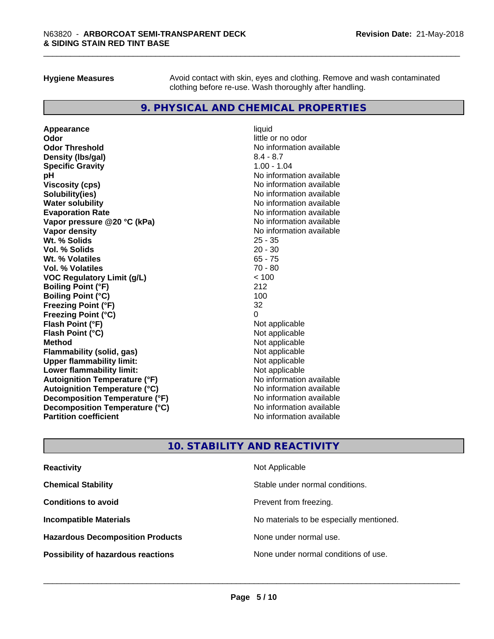**Hygiene Measures** Avoid contact with skin, eyes and clothing. Remove and wash contaminated clothing before re-use. Wash thoroughly after handling.

### **9. PHYSICAL AND CHEMICAL PROPERTIES**

**Appearance** liquid **Odor** little or no odor **Odor Threshold**<br> **Density (Ibs/gal)**<br> **Density (Ibs/gal)**<br> **No information available**<br>  $8.4 - 8.7$ **Density (lbs/gal)** 8.4 - 8.7<br> **Specific Gravity** 8.4 - 8.7 **Specific Gravity pH**<br>
Viscosity (cps) The Contract of the Contract of the Viscosity (cps) and Viscosity (cps) **Solubility(ies)** No information available **Water solubility Mater Solubility**<br> **Evaporation Rate** Mate No information available **Vapor pressure @20 °C (kPa)** No information available **Vapor density Vapor density No information available Wt. % Solids** 25 - 35 **Vol. % Solids** 20 - 30 **Wt. % Volatiles** 65 - 75 **Vol. % Volatiles** 70 - 80 **VOC Regulatory Limit (g/L)** < 100 **Boiling Point (°F) Boiling Point (°C)** 100 **Freezing Point (°F)** 32 **Freezing Point (°C)** 0 **Flash Point (°F)**<br> **Flash Point (°C)**<br> **Flash Point (°C)**<br> **C Flash Point (°C) Method** Not applicable **Flammability (solid, gas)** Not applicable<br> **Upper flammability limit:** Not applicable **Upper flammability limit:**<br> **Lower flammability limit:**<br>
Not applicable<br>
Not applicable **Lower flammability limit: Autoignition Temperature (°F)** No information available **Autoignition Temperature (°C)** No information available **Decomposition Temperature (°F)** No information available **Decomposition Temperature (°C)** No information available<br> **Partition coefficient Partition available** 

**Viscosity (cps)** No information available **Evaporation Rate** No information available **No information available** 

# **10. STABILITY AND REACTIVITY**

| <b>Reactivity</b>                         | Not Applicable                           |
|-------------------------------------------|------------------------------------------|
| <b>Chemical Stability</b>                 | Stable under normal conditions.          |
| <b>Conditions to avoid</b>                | Prevent from freezing.                   |
| <b>Incompatible Materials</b>             | No materials to be especially mentioned. |
| <b>Hazardous Decomposition Products</b>   | None under normal use.                   |
| <b>Possibility of hazardous reactions</b> | None under normal conditions of use.     |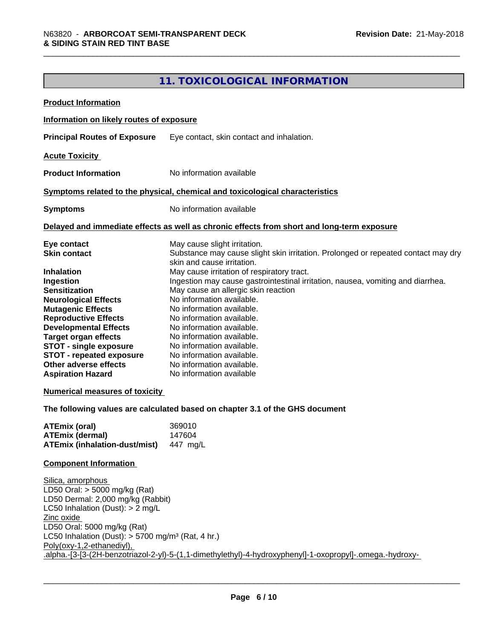# **11. TOXICOLOGICAL INFORMATION**

| <b>Product Information</b>                                                                                                                                                                                                                                                                                                                                                                                              |                                                                                                                                                                                                                                                                                                                                                                                                                                                                                                                                                                                                                                                                             |
|-------------------------------------------------------------------------------------------------------------------------------------------------------------------------------------------------------------------------------------------------------------------------------------------------------------------------------------------------------------------------------------------------------------------------|-----------------------------------------------------------------------------------------------------------------------------------------------------------------------------------------------------------------------------------------------------------------------------------------------------------------------------------------------------------------------------------------------------------------------------------------------------------------------------------------------------------------------------------------------------------------------------------------------------------------------------------------------------------------------------|
| Information on likely routes of exposure                                                                                                                                                                                                                                                                                                                                                                                |                                                                                                                                                                                                                                                                                                                                                                                                                                                                                                                                                                                                                                                                             |
| <b>Principal Routes of Exposure</b>                                                                                                                                                                                                                                                                                                                                                                                     | Eye contact, skin contact and inhalation.                                                                                                                                                                                                                                                                                                                                                                                                                                                                                                                                                                                                                                   |
| <b>Acute Toxicity</b>                                                                                                                                                                                                                                                                                                                                                                                                   |                                                                                                                                                                                                                                                                                                                                                                                                                                                                                                                                                                                                                                                                             |
| <b>Product Information</b>                                                                                                                                                                                                                                                                                                                                                                                              | No information available                                                                                                                                                                                                                                                                                                                                                                                                                                                                                                                                                                                                                                                    |
|                                                                                                                                                                                                                                                                                                                                                                                                                         | Symptoms related to the physical, chemical and toxicological characteristics                                                                                                                                                                                                                                                                                                                                                                                                                                                                                                                                                                                                |
| <b>Symptoms</b>                                                                                                                                                                                                                                                                                                                                                                                                         | No information available                                                                                                                                                                                                                                                                                                                                                                                                                                                                                                                                                                                                                                                    |
|                                                                                                                                                                                                                                                                                                                                                                                                                         | Delayed and immediate effects as well as chronic effects from short and long-term exposure                                                                                                                                                                                                                                                                                                                                                                                                                                                                                                                                                                                  |
| Eye contact<br><b>Skin contact</b><br><b>Inhalation</b><br>Ingestion<br><b>Sensitization</b><br><b>Neurological Effects</b><br><b>Mutagenic Effects</b><br><b>Reproductive Effects</b><br><b>Developmental Effects</b><br><b>Target organ effects</b><br><b>STOT - single exposure</b><br><b>STOT - repeated exposure</b><br>Other adverse effects<br><b>Aspiration Hazard</b><br><b>Numerical measures of toxicity</b> | May cause slight irritation.<br>Substance may cause slight skin irritation. Prolonged or repeated contact may dry<br>skin and cause irritation.<br>May cause irritation of respiratory tract.<br>Ingestion may cause gastrointestinal irritation, nausea, vomiting and diarrhea.<br>May cause an allergic skin reaction<br>No information available.<br>No information available.<br>No information available.<br>No information available.<br>No information available.<br>No information available.<br>No information available.<br>No information available.<br>No information available<br>The following values are calculated based on chapter 3.1 of the GHS document |
| <b>ATEmix (oral)</b><br><b>ATEmix (dermal)</b><br><b>ATEmix (inhalation-dust/mist)</b>                                                                                                                                                                                                                                                                                                                                  | 369010<br>147604<br>447 mg/L                                                                                                                                                                                                                                                                                                                                                                                                                                                                                                                                                                                                                                                |
| <b>Component Information</b>                                                                                                                                                                                                                                                                                                                                                                                            |                                                                                                                                                                                                                                                                                                                                                                                                                                                                                                                                                                                                                                                                             |
| Silica, amorphous<br>LD50 Oral: > 5000 mg/kg (Rat)<br>LD50 Dermal: 2,000 mg/kg (Rabbit)<br>LC50 Inhalation (Dust): $> 2$ mg/L<br>Zinc oxide<br>LD50 Oral: 5000 mg/kg (Rat)<br>LC50 Inhalation (Dust): $> 5700$ mg/m <sup>3</sup> (Rat, 4 hr.)<br>Poly(oxy-1,2-ethanediyl),                                                                                                                                              | .alpha.-[3-[3-(2H-benzotriazol-2-yl)-5-(1,1-dimethylethyl)-4-hydroxyphenyl]-1-oxopropyl]-.omega.-hydroxy-                                                                                                                                                                                                                                                                                                                                                                                                                                                                                                                                                                   |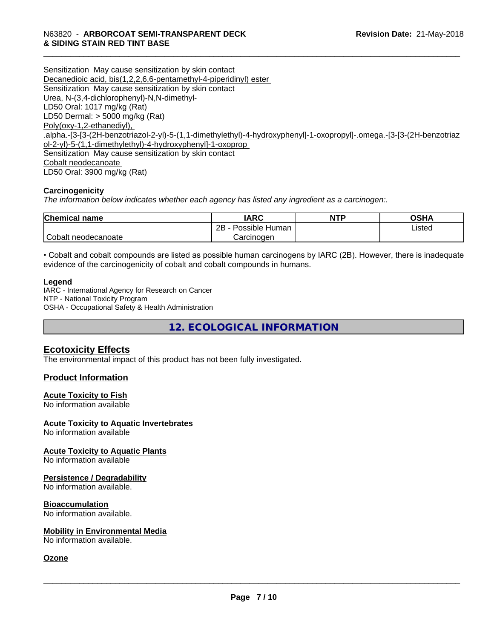Sensitization May cause sensitization by skin contact Decanedioic acid, bis(1,2,2,6,6-pentamethyl-4-piperidinyl) ester Sensitization May cause sensitization by skin contact Urea, N-(3,4-dichlorophenyl)-N,N-dimethyl- LD50 Oral: 1017 mg/kg (Rat) LD50 Dermal: > 5000 mg/kg (Rat) Poly(oxy-1,2-ethanediyl), .alpha.-[3-[3-(2H-benzotriazol-2-yl)-5-(1,1-dimethylethyl)-4-hydroxyphenyl]-1-oxopropyl]-.omega.-[3-[3-(2H-benzotriaz ol-2-yl)-5-(1,1-dimethylethyl)-4-hydroxyphenyl]-1-oxoprop Sensitization May cause sensitization by skin contact Cobalt neodecanoate LD50 Oral: 3900 mg/kg (Rat)

#### **Carcinogenicity**

*The information below indicateswhether each agency has listed any ingredient as a carcinogen:.*

| <b>Chemical name</b> | <b>IARC</b>          | <b>NTP</b> | OSHA   |
|----------------------|----------------------|------------|--------|
|                      | Possible Human<br>2B |            | Listed |
| Cobalt neodecanoate  | Carcinoɑen           |            |        |

• Cobalt and cobalt compounds are listed as possible human carcinogens by IARC (2B). However, there is inadequate evidence of the carcinogenicity of cobalt and cobalt compounds in humans.

#### **Legend**

IARC - International Agency for Research on Cancer NTP - National Toxicity Program OSHA - Occupational Safety & Health Administration

**12. ECOLOGICAL INFORMATION**

#### **Ecotoxicity Effects**

The environmental impact of this product has not been fully investigated.

#### **Product Information**

#### **Acute Toxicity to Fish**

No information available

#### **Acute Toxicity to Aquatic Invertebrates**

No information available

#### **Acute Toxicity to Aquatic Plants** No information available

# **Persistence / Degradability**

No information available.

#### **Bioaccumulation**

No information available.

#### **Mobility in Environmental Media**

No information available.

#### **Ozone**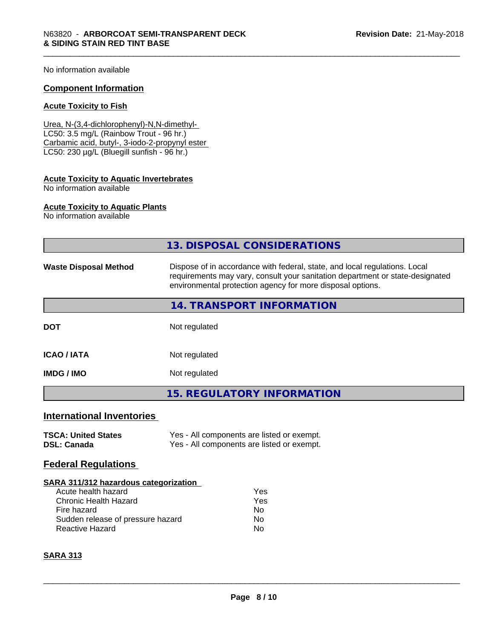No information available

#### **Component Information**

#### **Acute Toxicity to Fish**

Urea, N-(3,4-dichlorophenyl)-N,N-dimethyl- LC50: 3.5 mg/L (Rainbow Trout - 96 hr.) Carbamic acid, butyl-, 3-iodo-2-propynyl ester LC50: 230 µg/L (Bluegill sunfish - 96 hr.)

# **Acute Toxicity to Aquatic Invertebrates**

No information available

#### **Acute Toxicity to Aquatic Plants**

No information available

|                                                                                                                                                                            | 13. DISPOSAL CONSIDERATIONS                                                                                                                                                                                               |  |  |
|----------------------------------------------------------------------------------------------------------------------------------------------------------------------------|---------------------------------------------------------------------------------------------------------------------------------------------------------------------------------------------------------------------------|--|--|
| <b>Waste Disposal Method</b>                                                                                                                                               | Dispose of in accordance with federal, state, and local regulations. Local<br>requirements may vary, consult your sanitation department or state-designated<br>environmental protection agency for more disposal options. |  |  |
|                                                                                                                                                                            | 14. TRANSPORT INFORMATION                                                                                                                                                                                                 |  |  |
| <b>DOT</b>                                                                                                                                                                 | Not regulated                                                                                                                                                                                                             |  |  |
| <b>ICAO / IATA</b>                                                                                                                                                         | Not regulated                                                                                                                                                                                                             |  |  |
| <b>IMDG/IMO</b>                                                                                                                                                            | Not regulated                                                                                                                                                                                                             |  |  |
|                                                                                                                                                                            | <b>15. REGULATORY INFORMATION</b>                                                                                                                                                                                         |  |  |
| <b>International Inventories</b>                                                                                                                                           |                                                                                                                                                                                                                           |  |  |
| <b>TSCA: United States</b><br><b>DSL: Canada</b>                                                                                                                           | Yes - All components are listed or exempt.<br>Yes - All components are listed or exempt.                                                                                                                                  |  |  |
| <b>Federal Regulations</b>                                                                                                                                                 |                                                                                                                                                                                                                           |  |  |
| SARA 311/312 hazardous categorization<br>Acute health hazard<br><b>Chronic Health Hazard</b><br>Fire hazard<br>Sudden release of pressure hazard<br><b>Reactive Hazard</b> | Yes<br>Yes<br>No.<br>No<br>No                                                                                                                                                                                             |  |  |

#### **SARA 313**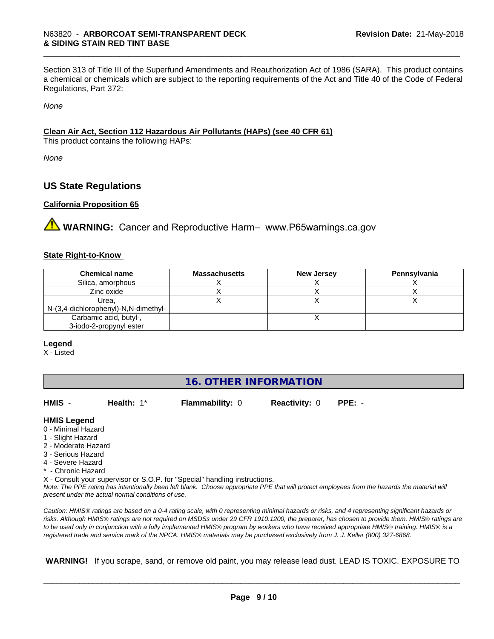Section 313 of Title III of the Superfund Amendments and Reauthorization Act of 1986 (SARA). This product contains a chemical or chemicals which are subject to the reporting requirements of the Act and Title 40 of the Code of Federal Regulations, Part 372:

*None*

#### **Clean Air Act,Section 112 Hazardous Air Pollutants (HAPs) (see 40 CFR 61)**

This product contains the following HAPs:

*None*

### **US State Regulations**

#### **California Proposition 65**

**AVIMARNING:** Cancer and Reproductive Harm– www.P65warnings.ca.gov

#### **State Right-to-Know**

| <b>Chemical name</b>                 | <b>Massachusetts</b> | <b>New Jersey</b> | Pennsylvania |
|--------------------------------------|----------------------|-------------------|--------------|
| Silica, amorphous                    |                      |                   |              |
| Zinc oxide                           |                      |                   |              |
| Urea.                                |                      |                   |              |
| N-(3,4-dichlorophenyl)-N,N-dimethyl- |                      |                   |              |
| Carbamic acid, butyl-,               |                      |                   |              |
| 3-iodo-2-propynyl ester              |                      |                   |              |

#### **Legend**

X - Listed

| <b>16. OTHER INFORMATION</b> |  |
|------------------------------|--|
|------------------------------|--|

| HMIS -              | Health: $1^*$                                      | <b>Flammability: 0</b>                                                     | <b>Reactivity: 0</b> | $PPE: -$                                                                                                                                      |
|---------------------|----------------------------------------------------|----------------------------------------------------------------------------|----------------------|-----------------------------------------------------------------------------------------------------------------------------------------------|
| <b>HMIS Legend</b>  |                                                    |                                                                            |                      |                                                                                                                                               |
| 0 - Minimal Hazard  |                                                    |                                                                            |                      |                                                                                                                                               |
| 1 - Slight Hazard   |                                                    |                                                                            |                      |                                                                                                                                               |
| 2 - Moderate Hazard |                                                    |                                                                            |                      |                                                                                                                                               |
| 3 - Serious Hazard  |                                                    |                                                                            |                      |                                                                                                                                               |
| 4 - Severe Hazard   |                                                    |                                                                            |                      |                                                                                                                                               |
| * - Chronic Hazard  |                                                    |                                                                            |                      |                                                                                                                                               |
|                     |                                                    | X - Consult your supervisor or S.O.P. for "Special" handling instructions. |                      |                                                                                                                                               |
|                     | present under the actual normal conditions of use. |                                                                            |                      | Note: The PPE rating has intentionally been left blank. Choose appropriate PPE that will protect employees from the hazards the material will |
|                     |                                                    |                                                                            |                      |                                                                                                                                               |

*Caution: HMISÒ ratings are based on a 0-4 rating scale, with 0 representing minimal hazards or risks, and 4 representing significant hazards or risks. Although HMISÒ ratings are not required on MSDSs under 29 CFR 1910.1200, the preparer, has chosen to provide them. HMISÒ ratings are to be used only in conjunction with a fully implemented HMISÒ program by workers who have received appropriate HMISÒ training. HMISÒ is a registered trade and service mark of the NPCA. HMISÒ materials may be purchased exclusively from J. J. Keller (800) 327-6868.*

 **WARNING!** If you scrape, sand, or remove old paint, you may release lead dust. LEAD IS TOXIC. EXPOSURE TO